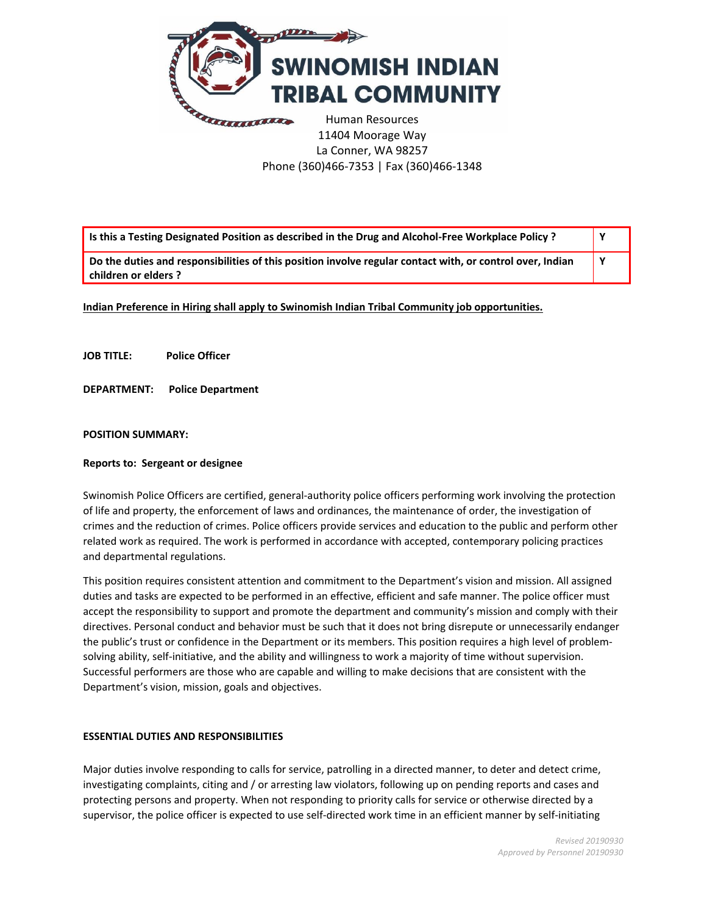

11404 Moorage Way La Conner, WA 98257 Phone (360)466-7353 | Fax (360)466-1348

| Is this a Testing Designated Position as described in the Drug and Alcohol-Free Workplace Policy ?                                |  |
|-----------------------------------------------------------------------------------------------------------------------------------|--|
| Do the duties and responsibilities of this position involve regular contact with, or control over, Indian<br>children or elders ? |  |

**Indian Preference in Hiring shall apply to Swinomish Indian Tribal Community job opportunities.** 

**JOB TITLE: Police Officer**

**DEPARTMENT: Police Department** 

# **POSITION SUMMARY:**

### **Reports to: Sergeant or designee**

Swinomish Police Officers are certified, general-authority police officers performing work involving the protection of life and property, the enforcement of laws and ordinances, the maintenance of order, the investigation of crimes and the reduction of crimes. Police officers provide services and education to the public and perform other related work as required. The work is performed in accordance with accepted, contemporary policing practices and departmental regulations.

This position requires consistent attention and commitment to the Department's vision and mission. All assigned duties and tasks are expected to be performed in an effective, efficient and safe manner. The police officer must accept the responsibility to support and promote the department and community's mission and comply with their directives. Personal conduct and behavior must be such that it does not bring disrepute or unnecessarily endanger the public's trust or confidence in the Department or its members. This position requires a high level of problemsolving ability, self-initiative, and the ability and willingness to work a majority of time without supervision. Successful performers are those who are capable and willing to make decisions that are consistent with the Department's vision, mission, goals and objectives.

#### **ESSENTIAL DUTIES AND RESPONSIBILITIES**

Major duties involve responding to calls for service, patrolling in a directed manner, to deter and detect crime, investigating complaints, citing and / or arresting law violators, following up on pending reports and cases and protecting persons and property. When not responding to priority calls for service or otherwise directed by a supervisor, the police officer is expected to use self-directed work time in an efficient manner by self-initiating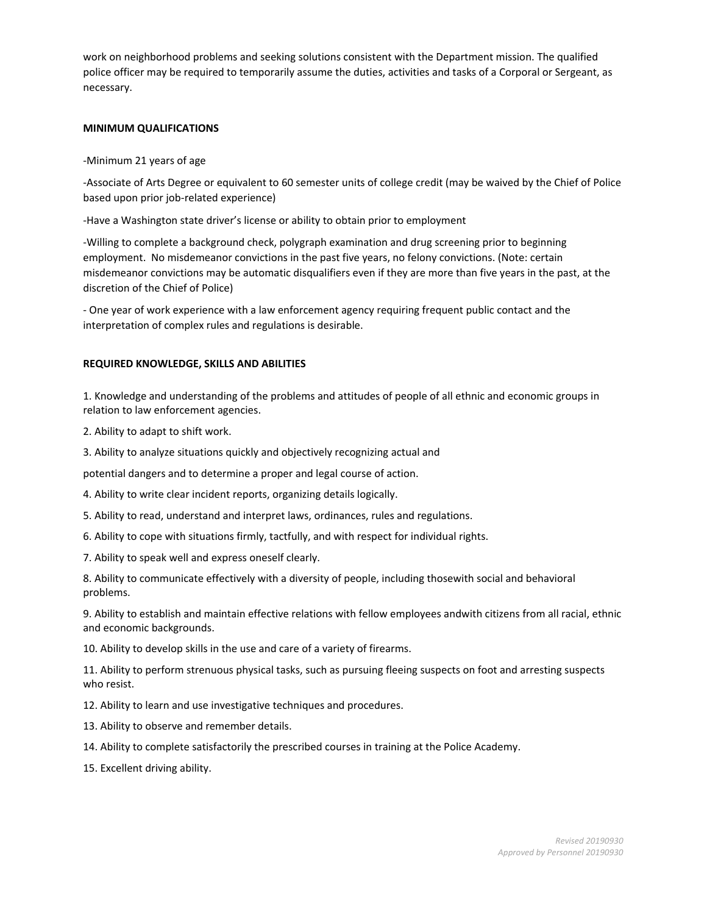work on neighborhood problems and seeking solutions consistent with the Department mission. The qualified police officer may be required to temporarily assume the duties, activities and tasks of a Corporal or Sergeant, as necessary.

### **MINIMUM QUALIFICATIONS**

-Minimum 21 years of age

-Associate of Arts Degree or equivalent to 60 semester units of college credit (may be waived by the Chief of Police based upon prior job-related experience)

-Have a Washington state driver's license or ability to obtain prior to employment

-Willing to complete a background check, polygraph examination and drug screening prior to beginning employment. No misdemeanor convictions in the past five years, no felony convictions. (Note: certain misdemeanor convictions may be automatic disqualifiers even if they are more than five years in the past, at the discretion of the Chief of Police)

- One year of work experience with a law enforcement agency requiring frequent public contact and the interpretation of complex rules and regulations is desirable.

## **REQUIRED KNOWLEDGE, SKILLS AND ABILITIES**

1. Knowledge and understanding of the problems and attitudes of people of all ethnic and economic groups in relation to law enforcement agencies.

2. Ability to adapt to shift work.

3. Ability to analyze situations quickly and objectively recognizing actual and

potential dangers and to determine a proper and legal course of action.

4. Ability to write clear incident reports, organizing details logically.

5. Ability to read, understand and interpret laws, ordinances, rules and regulations.

6. Ability to cope with situations firmly, tactfully, and with respect for individual rights.

7. Ability to speak well and express oneself clearly.

8. Ability to communicate effectively with a diversity of people, including thosewith social and behavioral problems.

9. Ability to establish and maintain effective relations with fellow employees andwith citizens from all racial, ethnic and economic backgrounds.

10. Ability to develop skills in the use and care of a variety of firearms.

11. Ability to perform strenuous physical tasks, such as pursuing fleeing suspects on foot and arresting suspects who resist.

12. Ability to learn and use investigative techniques and procedures.

13. Ability to observe and remember details.

14. Ability to complete satisfactorily the prescribed courses in training at the Police Academy.

15. Excellent driving ability.